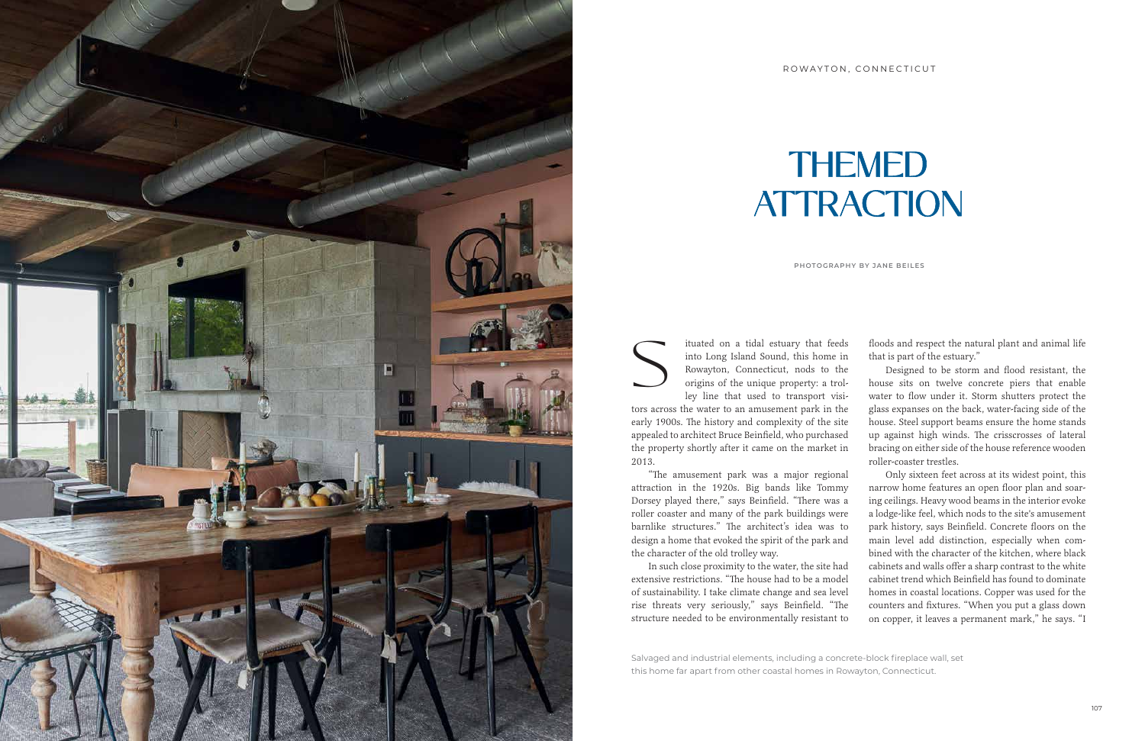Salvaged and industrial elements, including a concrete-block fireplace wall, set this home far apart from other coastal homes in Rowayton, Connecticut.

tors across the water to an amusement park in the early 1900s. The history and complexity of the site appealed to architect Bruce Beinfield, who purchased the property shortly after it came on the market in 2013.

S into Long Island Sound, this home in<br>Rowayton, Connecticut, nods to the<br>origins of the unique property: a trol-<br>ley line that used to transport visiinto Long Island Sound, this home in Rowayton, Connecticut, nods to the origins of the unique property: a trolley line that used to transport visifloods and respect the natural plant and animal life that is part of the estuary." Designed to be storm and flood resistant, the house sits on twelve concrete piers that enable water to flow under it. Storm shutters protect the glass expanses on the back, water-facing side of the house. Steel support beams ensure the home stands up against high winds. The crisscrosses of lateral bracing on either side of the house reference wooden roller-coaster trestles.

attraction in the 1920s. Big bands like Tommy Dorsey played there," says Beinfield. "There was a roller coaster and many of the park buildings were barnlike structures." The architect's idea was to design a home that evoked the spirit of the park and the character of the old trolley way. extensive restrictions. "The house had to be a model of sustainability. I take climate change and sea level rise threats very seriously," says Beinfield. "The structure needed to be environmentally resistant to



## THEMED **ATTRACTION**

"The amusement park was a major regional In such close proximity to the water, the site had Only sixteen feet across at its widest point, this narrow home features an open floor plan and soaring ceilings. Heavy wood beams in the interior evoke a lodge-like feel, which nods to the site's amusement park history, says Beinfield. Concrete floors on the main level add distinction, especially when combined with the character of the kitchen, where black cabinets and walls offer a sharp contrast to the white cabinet trend which Beinfield has found to dominate homes in coastal locations. Copper was used for the counters and fixtures. "When you put a glass down on copper, it leaves a permanent mark," he says. "I

**PHOTOGRAPHY BY JANE BEILES**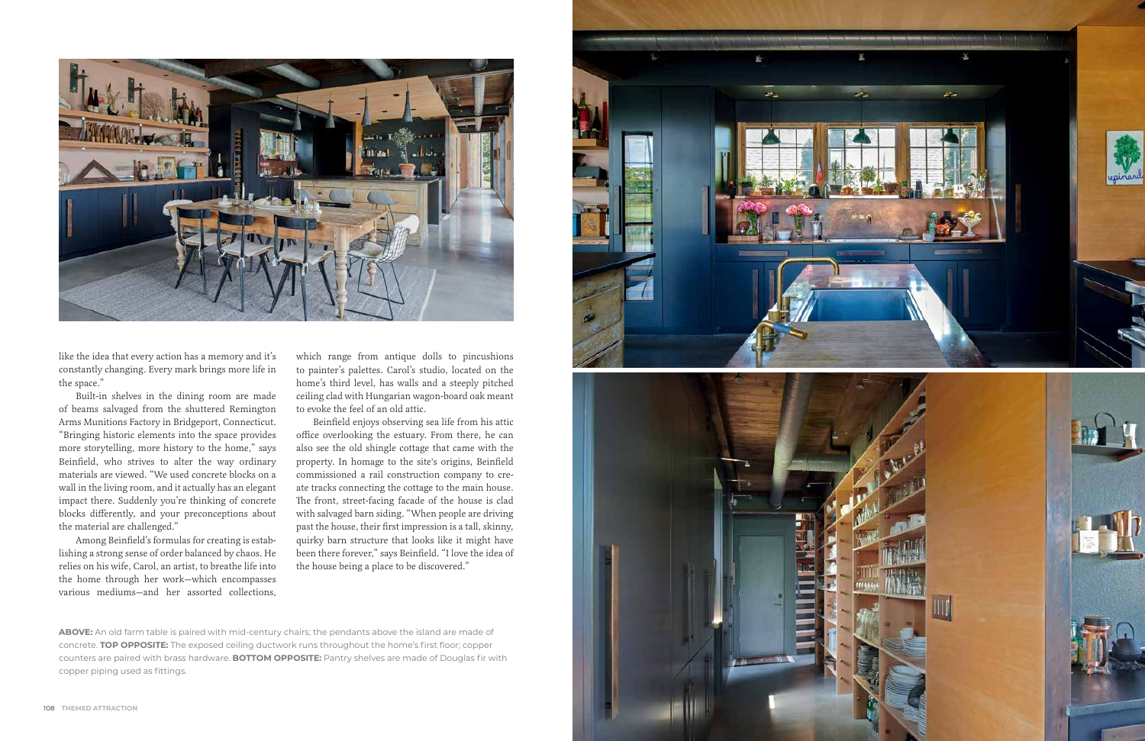

**ABOVE:** An old farm table is paired with mid-century chairs; the pendants above the island are made of concrete. **TOP OPPOSITE:** The exposed ceiling ductwork runs throughout the home's first floor; copper counters are paired with brass hardware. **BOTTOM OPPOSITE:** Pantry shelves are made of Douglas fir with copper piping used as fittings.



like the idea that every action has a memory and it's constantly changing. Every mark brings more life in the space."

Built-in shelves in the dining room are made of beams salvaged from the shuttered Remington Arms Munitions Factory in Bridgeport, Connecticut. "Bringing historic elements into the space provides more storytelling, more history to the home," says Beinfield, who strives to alter the way ordinary materials are viewed. "We used concrete blocks on a wall in the living room, and it actually has an elegant impact there. Suddenly you're thinking of concrete blocks differently, and your preconceptions about the material are challenged."

Among Beinfield's formulas for creating is estab lishing a strong sense of order balanced by chaos. He relies on his wife, Carol, an artist, to breathe life into the home through her work—which encompasses various mediums—and her assorted collections,

which range from antique dolls to pincushions to painter's palettes. Carol's studio, located on the home's third level, has walls and a steeply pitched ceiling clad with Hungarian wagon-board oak meant to evoke the feel of an old attic.

Beinfield enjoys observing sea life from his attic office overlooking the estuary. From there, he can also see the old shingle cottage that came with the property. In homage to the site's origins, Beinfield commissioned a rail construction company to cre ate tracks connecting the cottage to the main house. The front, street-facing facade of the house is clad with salvaged barn siding. "When people are driving past the house, their first impression is a tall, skinny, quirky barn structure that looks like it might have been there forever," says Beinfield. "I love the idea of the house being a place to be discovered."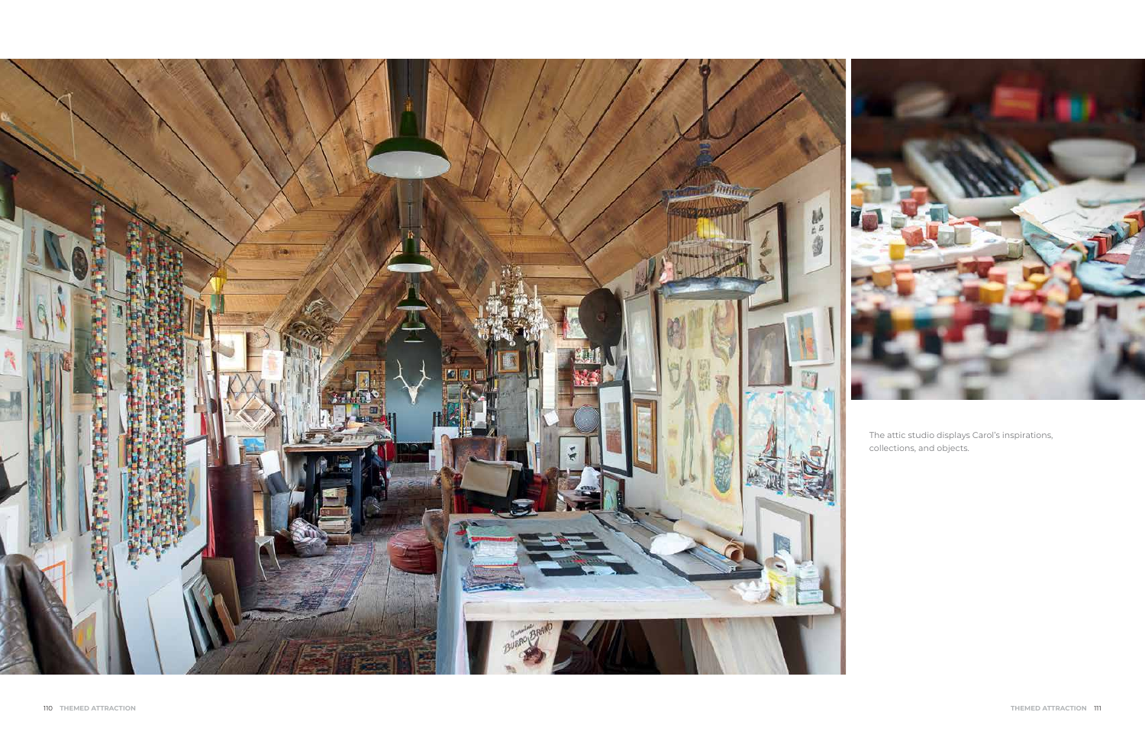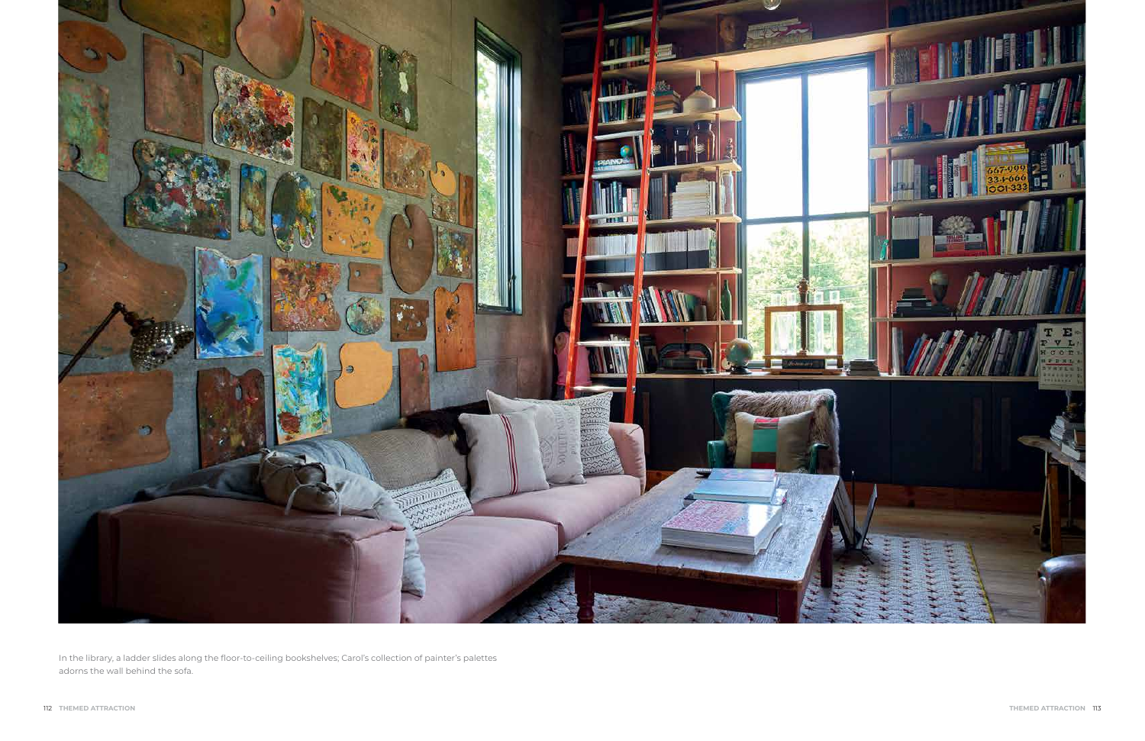

In the library, a ladder slides along the floor-to-ceiling bookshelves; Carol's collection of painter's palettes adorns the wall behind the sofa.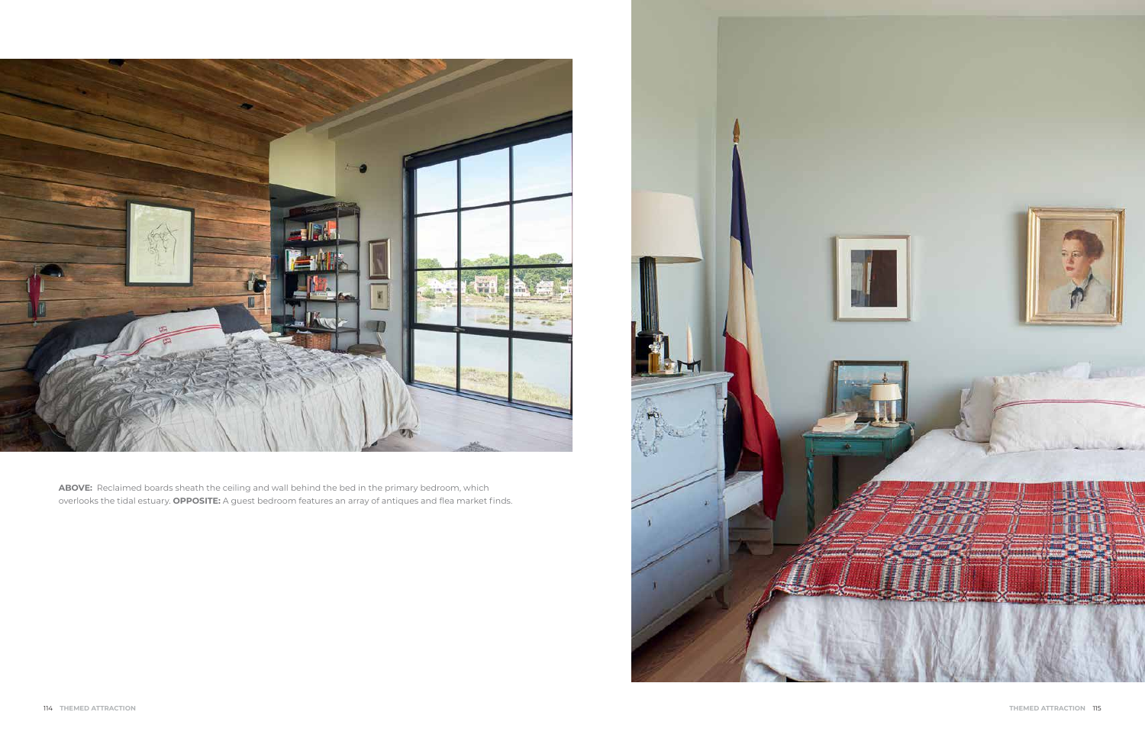

**ABOVE:** Reclaimed boards sheath the ceiling and wall behind the bed in the primary bedroom, which overlooks the tidal estuary. **OPPOSITE:** A guest bedroom features an array of antiques and flea market finds.